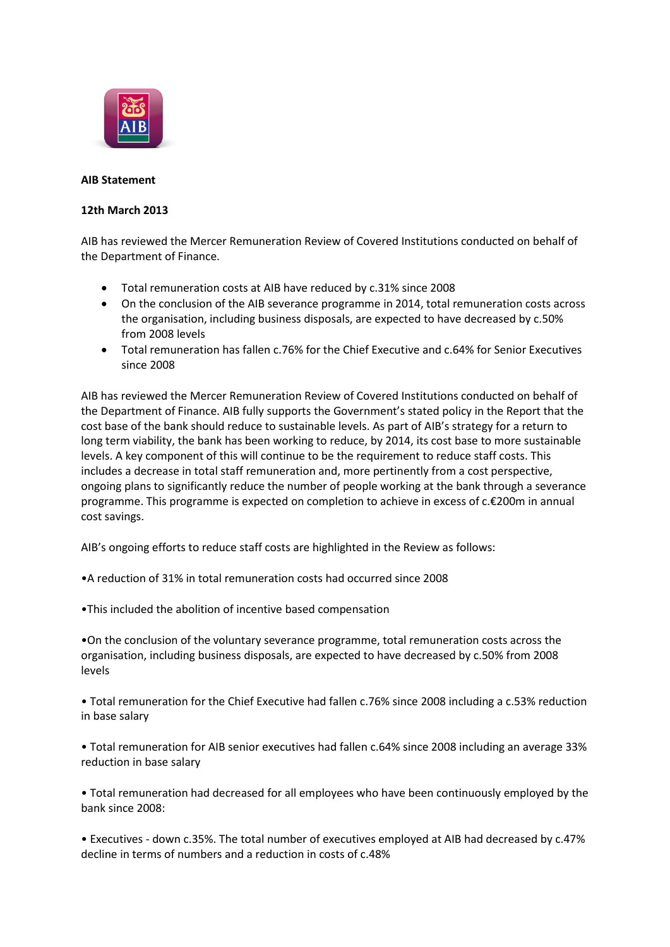

## **AIB Statement**

## **12th March 2013**

AIB has reviewed the Mercer Remuneration Review of Covered Institutions conducted on behalf of the Department of Finance.

- Total remuneration costs at AIB have reduced by c.31% since 2008
- On the conclusion of the AIB severance programme in 2014, total remuneration costs across the organisation, including business disposals, are expected to have decreased by c.50% from 2008 levels
- Total remuneration has fallen c.76% for the Chief Executive and c.64% for Senior Executives since 2008

AIB has reviewed the Mercer Remuneration Review of Covered Institutions conducted on behalf of the Department of Finance. AIB fully supports the Government's stated policy in the Report that the cost base of the bank should reduce to sustainable levels. As part of AIB's strategy for a return to long term viability, the bank has been working to reduce, by 2014, its cost base to more sustainable levels. A key component of this will continue to be the requirement to reduce staff costs. This includes a decrease in total staff remuneration and, more pertinently from a cost perspective, ongoing plans to significantly reduce the number of people working at the bank through a severance programme. This programme is expected on completion to achieve in excess of c.€200m in annual cost savings.

AIB's ongoing efforts to reduce staff costs are highlighted in the Review as follows:

•A reduction of 31% in total remuneration costs had occurred since 2008

•This included the abolition of incentive based compensation

•On the conclusion of the voluntary severance programme, total remuneration costs across the organisation, including business disposals, are expected to have decreased by c.50% from 2008 levels

• Total remuneration for the Chief Executive had fallen c.76% since 2008 including a c.53% reduction in base salary

• Total remuneration for AIB senior executives had fallen c.64% since 2008 including an average 33% reduction in base salary

• Total remuneration had decreased for all employees who have been continuously employed by the bank since 2008:

• Executives - down c.35%. The total number of executives employed at AIB had decreased by c.47% decline in terms of numbers and a reduction in costs of c.48%